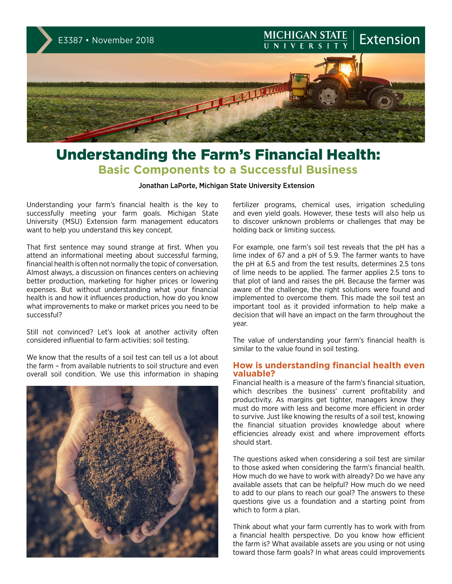

## **Basic Components to a Successful Business** Understanding the Farm's Financial Health:

#### Jonathan LaPorte, Michigan State University Extension

Understanding your farm's financial health is the key to successfully meeting your farm goals. Michigan State University (MSU) Extension farm management educators want to help you understand this key concept.

That first sentence may sound strange at first. When you attend an informational meeting about successful farming, financial health is often not normally the topic of conversation. Almost always, a discussion on finances centers on achieving better production, marketing for higher prices or lowering expenses. But without understanding what your financial health is and how it influences production, how do you know what improvements to make or market prices you need to be successful?

Still not convinced? Let's look at another activity often considered influential to farm activities: soil testing.

We know that the results of a soil test can tell us a lot about the farm – from available nutrients to soil structure and even overall soil condition. We use this information in shaping



fertilizer programs, chemical uses, irrigation scheduling and even yield goals. However, these tests will also help us to discover unknown problems or challenges that may be holding back or limiting success.

For example, one farm's soil test reveals that the pH has a lime index of 67 and a pH of 5.9. The farmer wants to have the pH at 6.5 and from the test results, determines 2.5 tons of lime needs to be applied. The farmer applies 2.5 tons to that plot of land and raises the pH. Because the farmer was aware of the challenge, the right solutions were found and implemented to overcome them. This made the soil test an important tool as it provided information to help make a decision that will have an impact on the farm throughout the year.

The value of understanding your farm's financial health is similar to the value found in soil testing.

#### **How is understanding financial health even valuable?**

Financial health is a measure of the farm's financial situation, which describes the business' current profitability and productivity. As margins get tighter, managers know they must do more with less and become more efficient in order to survive. Just like knowing the results of a soil test, knowing the financial situation provides knowledge about where efficiencies already exist and where improvement efforts should start.

The questions asked when considering a soil test are similar to those asked when considering the farm's financial health. How much do we have to work with already? Do we have any available assets that can be helpful? How much do we need to add to our plans to reach our goal? The answers to these questions give us a foundation and a starting point from which to form a plan.

Think about what your farm currently has to work with from a financial health perspective. Do you know how efficient the farm is? What available assets are you using or not using toward those farm goals? In what areas could improvements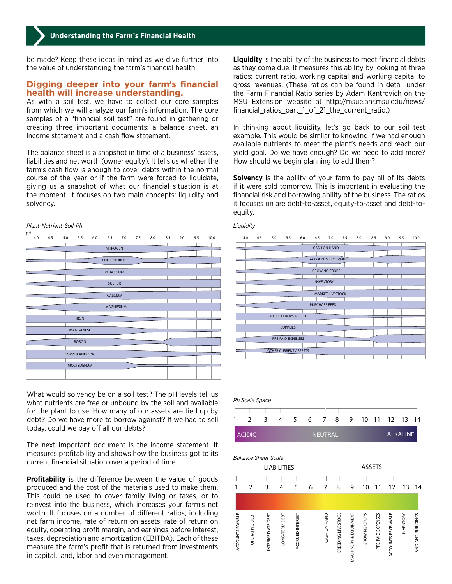be made? Keep these ideas in mind as we dive further into the value of understanding the farm's financial health.

#### **Digging deeper into your farm's financial health will increase understanding.**

As with a soil test, we have to collect our core samples from which we will analyze our farm's information. The core samples of a "financial soil test" are found in gathering or creating three important documents: a balance sheet, an income statement and a cash flow statement.

[The balance sheet](http://msue.anr.msu.edu/news/the_balance_sheet) is a snapshot in time of a business' assets, liabilities and net worth (owner equity). It tells us whether the farm's cash flow is enough to cover debts within the normal course of the year or if the farm were forced to liquidate, giving us a snapshot of what our financial situation is at the moment. It focuses on two main concepts: liquidity and solvency.

| Plant-Nutrient-Soil-Ph |     |     |                        |     |                   |     |     |     |     |     |     |      | Liquidity |
|------------------------|-----|-----|------------------------|-----|-------------------|-----|-----|-----|-----|-----|-----|------|-----------|
| pH<br>4.0              | 4.5 | 5.0 | 5.5                    | 6.0 | 6.5               | 7.0 | 7.5 | 8.0 | 8.5 | 9.0 | 9.5 | 10.0 | 4.0       |
|                        |     |     |                        |     | <b>NITROGEN</b>   |     |     |     |     |     |     |      |           |
|                        |     |     |                        |     |                   |     |     |     |     |     |     |      |           |
|                        |     |     |                        |     | <b>PHOSPHORUS</b> |     |     |     |     |     |     |      |           |
|                        |     |     |                        |     |                   |     |     |     |     |     |     |      |           |
|                        |     |     |                        |     | <b>POTASSIUM</b>  |     |     |     |     |     |     |      |           |
|                        |     |     |                        |     |                   |     |     |     |     |     |     |      |           |
|                        |     |     |                        |     | <b>SULFUR</b>     |     |     |     |     |     |     |      |           |
|                        |     |     |                        |     |                   |     |     |     |     |     |     |      |           |
|                        |     |     |                        |     | CALCIUM           |     |     |     |     |     |     |      |           |
|                        |     |     |                        |     |                   |     |     |     |     |     |     |      |           |
|                        |     |     |                        |     | MAGNESIUM         |     |     |     |     |     |     |      |           |
|                        |     |     |                        |     |                   |     |     |     |     |     |     |      |           |
|                        |     |     | <b>IRON</b>            |     |                   |     |     |     |     |     |     |      |           |
|                        |     |     |                        |     |                   |     |     |     |     |     |     |      |           |
|                        |     |     | MANGANESE              |     |                   |     |     |     |     |     |     |      |           |
|                        |     |     |                        |     |                   |     |     |     |     |     |     |      |           |
|                        |     |     | <b>BORON</b>           |     |                   |     |     |     |     |     |     |      |           |
|                        |     |     |                        |     |                   |     |     |     |     |     |     |      |           |
|                        |     |     | <b>COPPER AND ZINC</b> |     |                   |     |     |     |     |     |     |      |           |
|                        |     |     |                        |     |                   |     |     |     |     |     |     |      |           |
|                        |     |     | <b>MOLYBDENUM</b>      |     |                   |     |     |     |     |     |     |      |           |

What would solvency be on a soil test? The pH levels tell us what nutrients are free or unbound by the soil and available for the plant to use. How many of our assets are tied up by debt? Do we have more to borrow against? If we had to sell today, could we pay off all our debts?

The next important document is [the income statement.](http://msue.anr.msu.edu/news/use_an_income_statement_to_determine_profits) It measures profitability and shows how the business got to its current financial situation over a period of time.

**Profitability** is the difference between the value of goods produced and the cost of the materials used to make them. This could be used to cover family living or taxes, or to reinvest into the business, which increases your farm's net worth. It focuses on a number of different ratios, including [net farm income](http://msue.anr.msu.edu/news/financial_ratios_part_7_of_21_net_farm_income), [rate of return on assets,](http://msue.anr.msu.edu/news/financial_ratios_part_8_of_21_rate_of_return_on_assets) [rate of return on](http://msue.anr.msu.edu/news/financial_ratios_part_9_of_21_rate_of_return_on_equity)  [equity,](http://msue.anr.msu.edu/news/financial_ratios_part_9_of_21_rate_of_return_on_equity) [operating profit margin,](http://msue.anr.msu.edu/news/financial_ratios_part_10_of_21_operating_profit_margin) and [earnings before interest,](http://msue.anr.msu.edu/news/financial_ratios_part_11_of_21_the_ebitda_measurement_of_profitability)  [taxes, depreciation and amortization \(EBITDA\)](http://msue.anr.msu.edu/news/financial_ratios_part_11_of_21_the_ebitda_measurement_of_profitability). Each of these measure the farm's profit that is returned from investments in capital, land, labor and even management.

**Liquidity** is the ability of the business to meet financial debts as they come due. It measures this ability by looking at three ratios: [current ratio](http://msue.anr.msu.edu/news/financial_ratios_part_1_of_21_the_current_ratio), [working capital](http://msue.anr.msu.edu/news/financial_ratios_part_2_of_21_working_capital) and [working capital to](http://msue.anr.msu.edu/news/financial_ratios_part_3_of_21_working_capital_to_gross_revenues)  [gross revenues](http://msue.anr.msu.edu/news/financial_ratios_part_3_of_21_working_capital_to_gross_revenues). (These ratios can be found in detail under the [Farm Financial Ratio series](http://msue.anr.msu.edu/news/financial_ratios_part_1_of_21_the_current_ratio) by Adam Kantrovich on the MSU Extension website at [http://msue.anr.msu.edu/news/](http://msue.anr.msu.edu/news/financial_ratios_part_1_of_21_the_current_ratio) financial ratios part 1 of 21 the current ratio.)

In thinking about liquidity, let's go back to our soil test example. This would be similar to knowing if we had enough available nutrients to meet the plant's needs and reach our yield goal. Do we have enough? Do we need to add more? How should we begin planning to add them?

**Solvency** is the ability of your farm to pay all of its debts if it were sold tomorrow. This is important in evaluating the financial risk and borrowing ability of the business. The ratios it focuses on are [debt-to-asset,](http://msue.anr.msu.edu/news/financial_ratios_part_4_of_21_debt_to_asset_ratio) [equity-to-asset](http://msue.anr.msu.edu/news/financial_ratios_part_5_of_21_equity_to_asset_ratio) and [debt-to](http://msue.anr.msu.edu/news/financial_ratios_part_6_of_21_debt_to_equity_ratio)[equity](http://msue.anr.msu.edu/news/financial_ratios_part_6_of_21_debt_to_equity_ratio).



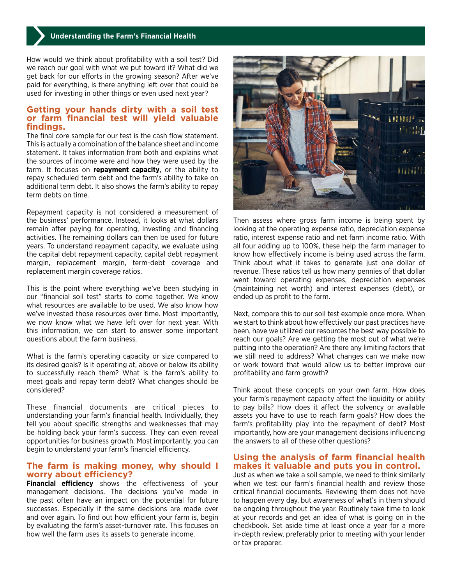How would we think about profitability with a soil test? Did we reach our goal with what we put toward it? What did we get back for our efforts in the growing season? After we've paid for everything, is there anything left over that could be used for investing in other things or even used next year?

#### **Getting your hands dirty with a soil test or farm financial test will yield valuable findings.**

The final core sample for our test is the cash flow statement. This is actually a combination of the balance sheet and income statement. It takes information from both and explains what the sources of income were and how they were used by the farm. It focuses on **repayment capacity**, or the ability to repay scheduled term debt and the farm's ability to take on additional term debt. It also shows the farm's ability to repay term debts on time.

Repayment capacity is not considered a measurement of the business' performance. Instead, it looks at what dollars remain after paying for operating, investing and financing activities. The remaining dollars can then be used for future years. To understand repayment capacity, we evaluate using the [capital debt repayment capacity,](http://msue.anr.msu.edu/news/financial_ratios_part_12_of_21_capital_debt_repayment_capacity) [capital debt repayment](http://msue.anr.msu.edu/news/financial_ratios_part_13_of_21_capital_debt_repayment_margin)  [margin](http://msue.anr.msu.edu/news/financial_ratios_part_13_of_21_capital_debt_repayment_margin), [replacement margin,](http://msue.anr.msu.edu/news/financial_ratios_part_14_of_21_replacement_margin) [term-debt coverage](http://msue.anr.msu.edu/news/financial_ratios_part_15_of_21_term_debt_coverage_ratio) and [replacement margin coverage](http://msue.anr.msu.edu/news/financial_ratios_part_16_of_21_replacement_margin_coverage_ratio) ratios.

This is the point where everything we've been studying in our "financial soil test" starts to come together. We know what resources are available to be used. We also know how we've invested those resources over time. Most importantly, we now know what we have left over for next year. With this information, we can start to answer some important questions about the farm business.

What is the farm's operating capacity or size compared to its desired goals? Is it operating at, above or below its ability to successfully reach them? What is the farm's ability to meet goals and repay term debt? What changes should be considered?

These financial documents are critical pieces to understanding your farm's financial health. Individually, they tell you about specific strengths and weaknesses that may be holding back your farm's success. They can even reveal opportunities for business growth. Most importantly, you can begin to understand your farm's financial efficiency.

#### **The farm is making money, why should I worry about efficiency?**

**Financial efficiency** shows the effectiveness of your management decisions. The decisions you've made in the past often have an impact on the potential for future successes. Especially if the same decisions are made over and over again. To find out how efficient your farm is, begin by evaluating the farm's [asset-turnover rate](http://msue.anr.msu.edu/news/financial_ratios_part_17_of_21_asset_turn_over_rate). This focuses on how well the farm uses its assets to generate income.



Then assess where gross farm income is being spent by looking at the [operating expense ratio](http://msue.anr.msu.edu/news/financial_ratios_part_18_of_21_operating_expense_ratio), [depreciation expense](http://msue.anr.msu.edu/news/financial_ratios_part_19_of_21_depreciation_expense_ratio)  [ratio,](http://msue.anr.msu.edu/news/financial_ratios_part_19_of_21_depreciation_expense_ratio) [interest expense ratio](http://msue.anr.msu.edu/news/financial_ratios_part_20_of_21_interest_expense_ratio) and [net farm income ratio](http://msue.anr.msu.edu/news/financial_ratios_part_21_of_21_net_income_ratio). With all four adding up to 100%, these help the farm manager to know how effectively income is being used across the farm. Think about what it takes to generate just one dollar of revenue. These ratios tell us how many pennies of that dollar went toward operating expenses, depreciation expenses (maintaining net worth) and interest expenses (debt), or ended up as profit to the farm.

Next, compare this to our soil test example once more. When we start to think about how effectively our past practices have been, have we utilized our resources the best way possible to reach our goals? Are we getting the most out of what we're putting into the operation? Are there any limiting factors that we still need to address? What changes can we make now or work toward that would allow us to better improve our profitability and farm growth?

Think about these concepts on your own farm. How does your farm's repayment capacity affect the liquidity or ability to pay bills? How does it affect the solvency or available assets you have to use to reach farm goals? How does the farm's profitability play into the repayment of debt? Most importantly, how are your management decisions influencing the answers to all of these other questions?

### **Using the analysis of farm financial health makes it valuable and puts you in control.**

Just as when we take a soil sample, we need to think similarly when we test our farm's financial health and review those critical financial documents. Reviewing them does not have to happen every day, but awareness of what's in them should be ongoing throughout the year. Routinely take time to look at your records and get an idea of what is going on in the checkbook. Set aside time at least once a year for a more in-depth review, preferably prior to meeting with your lender or tax preparer.